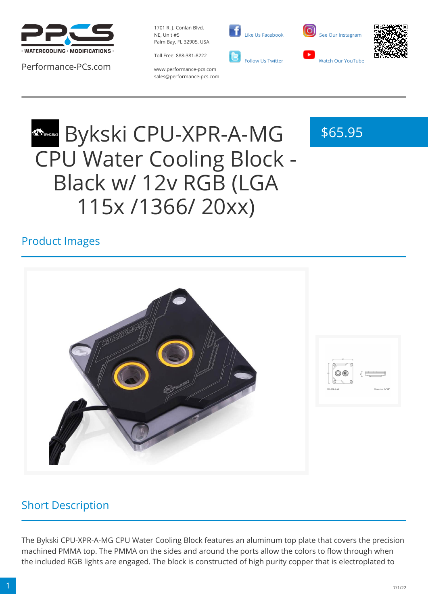

Performance-PCs.com

1701 R. J. Conlan Blvd. NE, Unit #5 Palm Bay, FL 32905, USA



www.performance-pcs.com sales@performance-pcs.com

 [Like Us Facebook](https://www.facebook.com/PerformancePCs)  [Follow Us Twitter](https://twitter.com/PerformancePCs)





\$65.95

# Bykski CPU-XPR-A-MG CPU Water Cooling Block - Black w/ 12v RGB (LGA 115x /1366/ 20xx)

## Product Images



# Short Description

The Bykski CPU-XPR-A-MG CPU Water Cooling Block features an aluminum top plate that covers the precision machined PMMA top. The PMMA on the sides and around the ports allow the colors to flow through when the included RGB lights are engaged. The block is constructed of high purity copper that is electroplated to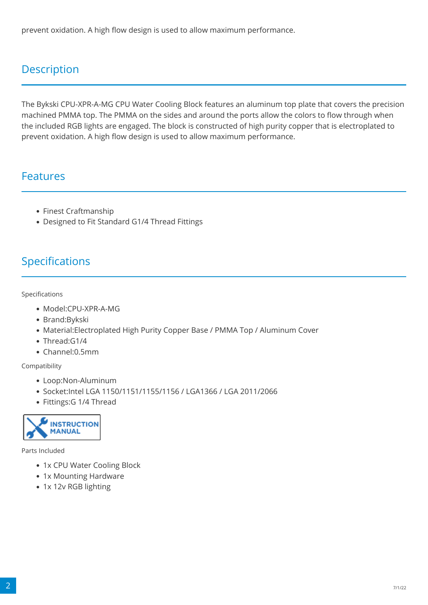prevent oxidation. A high flow design is used to allow maximum performance.

# **Description**

The Bykski CPU-XPR-A-MG CPU Water Cooling Block features an aluminum top plate that covers the precision machined PMMA top. The PMMA on the sides and around the ports allow the colors to flow through when the included RGB lights are engaged. The block is constructed of high purity copper that is electroplated to prevent oxidation. A high flow design is used to allow maximum performance.

### Features

- Finest Craftmanship
- Designed to Fit Standard G1/4 Thread Fittings

# Specifications

#### Specifications

- Model:CPU-XPR-A-MG
- Brand:Bykski
- Material:Electroplated High Purity Copper Base / PMMA Top / Aluminum Cover
- Thread:G1/4
- Channel:0.5mm

Compatibility

- Loop:Non-Aluminum
- Socket:Intel LGA 1150/1151/1155/1156 / LGA1366 / LGA 2011/2066
- Fittings:G 1/4 Thread



Parts Included

- 1x CPU Water Cooling Block
- 1x Mounting Hardware
- 1x 12v RGB lighting